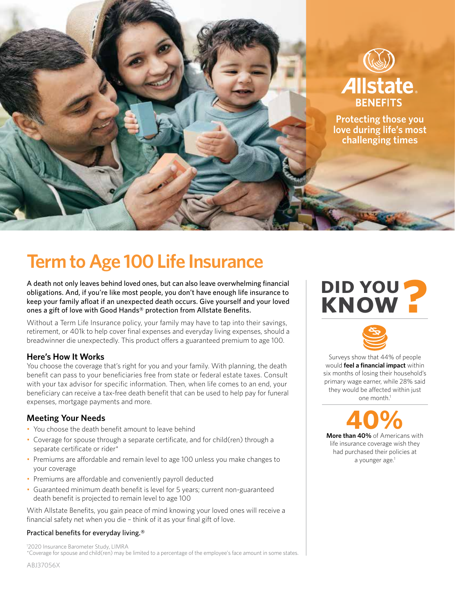

# **Term to Age 100 Life Insurance**

A death not only leaves behind loved ones, but can also leave overwhelming financial obligations. And, if you're like most people, you don't have enough life insurance to keep your family afloat if an unexpected death occurs. Give yourself and your loved ones a gift of love with Good Hands® protection from Allstate Benefits.

Without a Term Life Insurance policy, your family may have to tap into their savings, retirement, or 401k to help cover final expenses and everyday living expenses, should a breadwinner die unexpectedly. This product offers a guaranteed premium to age 100.

# **Here's How It Works**

You choose the coverage that's right for you and your family. With planning, the death benefit can pass to your beneficiaries free from state or federal estate taxes. Consult with your tax advisor for specific information. Then, when life comes to an end, your beneficiary can receive a tax-free death benefit that can be used to help pay for funeral expenses, mortgage payments and more.

# **Meeting Your Needs**

- You choose the death benefit amount to leave behind
- Coverage for spouse through a separate certificate, and for child(ren) through a separate certificate or rider\*
- Premiums are affordable and remain level to age 100 unless you make changes to your coverage
- Premiums are affordable and conveniently payroll deducted
- Guaranteed minimum death benefit is level for 5 years; current non-guaranteed death benefit is projected to remain level to age 100

With Allstate Benefits, you gain peace of mind knowing your loved ones will receive a financial safety net when you die – think of it as your final gift of love.

### Practical benefits for everyday living.®

1 2020 Insurance Barometer Study, LIMRA \*Coverage for spouse and child(ren) may be limited to a percentage of the employee's face amount in some states.

# **DID YOU KNOW?**



Surveys show that 44% of people would **feel a financial impact** within six months of losing their household's primary wage earner, while 28% said they would be affected within just one month.<sup>1</sup>

**40%**

**More than 40%** of Americans with life insurance coverage wish they had purchased their policies at a younger age.<sup>1</sup>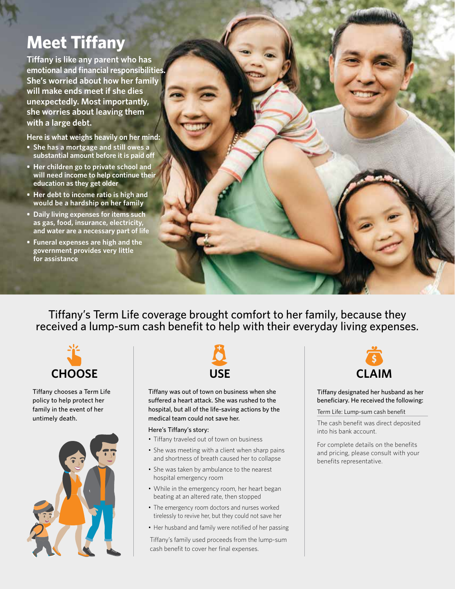# **Meet Tiffany**

**Tiffany is like any parent who has emotional and financial responsibilities. She's worried about how her family will make ends meet if she dies unexpectedly. Most importantly, she worries about leaving them with a large debt.**

**Here is what weighs heavily on her mind:**

- **She has a mortgage and still owes a substantial amount before it is paid off**
- **• Her children go to private school and will need income to help continue their education as they get older**
- **• Her debt to income ratio is high and would be a hardship on her family**
- **• Daily living expenses for items such as gas, food, insurance, electricity, and water are a necessary part of life**
- **• Funeral expenses are high and the government provides very little for assistance**

Tiffany's Term Life coverage brought comfort to her family, because they received a lump-sum cash benefit to help with their everyday living expenses.



Tiffany chooses a Term Life policy to help protect her family in the event of her untimely death.





Tiffany was out of town on business when she suffered a heart attack. She was rushed to the hospital, but all of the life-saving actions by the medical team could not save her.

#### Here's Tiffany's story:

- Tiffany traveled out of town on business
- She was meeting with a client when sharp pains and shortness of breath caused her to collapse
- She was taken by ambulance to the nearest hospital emergency room
- While in the emergency room, her heart began beating at an altered rate, then stopped
- The emergency room doctors and nurses worked tirelessly to revive her, but they could not save her
- Her husband and family were notified of her passing

Tiffany's family used proceeds from the lump-sum cash benefit to cover her final expenses.



Tiffany designated her husband as her beneficiary. He received the following:

Term Life: Lump-sum cash benefit

The cash benefit was direct deposited into his bank account.

For complete details on the benefits and pricing, please consult with your benefits representative.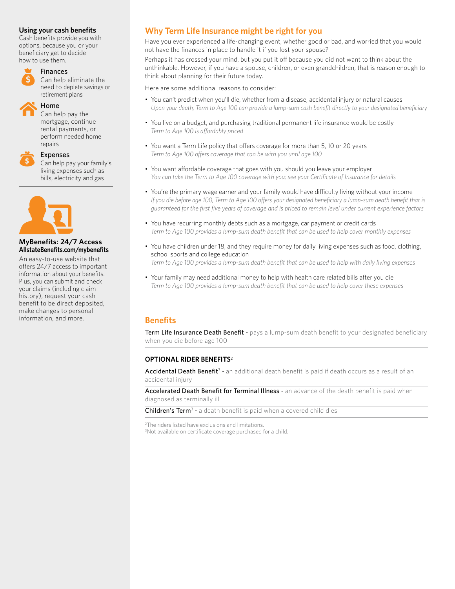### **Using your cash benefits**

Cash benefits provide you with options, because you or your beneficiary get to decide how to use them.

# Finances

Can help eliminate the need to deplete savings or retirement plans



# Home

Can help pay the mortgage, continue rental payments, or perform needed home repairs

| 、 |  |  |
|---|--|--|

Expenses

Can help pay your family's living expenses such as bills, electricity and gas



### **MyBenefits: 24/7 Access AllstateBenefits.com/mybenefits**

An easy-to-use website that offers 24/7 access to important information about your benefits. Plus, you can submit and check your claims (including claim history), request your cash benefit to be direct deposited, make changes to personal information, and more.

# **Why Term Life Insurance might be right for you**

Have you ever experienced a life-changing event, whether good or bad, and worried that you would not have the finances in place to handle it if you lost your spouse?

Perhaps it has crossed your mind, but you put it off because you did not want to think about the unthinkable. However, if you have a spouse, children, or even grandchildren, that is reason enough to think about planning for their future today.

Here are some additional reasons to consider:

- You can't predict when you'll die, whether from a disease, accidental injury or natural causes *Upon your death, Term to Age 100 can provide a lump-sum cash benefit directly to your designated beneficiary*
- You live on a budget, and purchasing traditional permanent life insurance would be costly *Term to Age 100 is affordably priced*
- You want a Term Life policy that offers coverage for more than 5, 10 or 20 years *Term to Age 100 offers coverage that can be with you until age 100*
- You want affordable coverage that goes with you should you leave your employer *You can take the Term to Age 100 coverage with you; see your Certificate of Insurance for details*
- You're the primary wage earner and your family would have difficulty living without your income *If you die before age 100, Term to Age 100 offers your designated beneficiary a lump-sum death benefit that is guaranteed for the first five years of coverage and is priced to remain level under current experience factors*
- You have recurring monthly debts such as a mortgage, car payment or credit cards *Term to Age 100 provides a lump-sum death benefit that can be used to help cover monthly expenses*
- You have children under 18, and they require money for daily living expenses such as food, clothing, school sports and college education *Term to Age 100 provides a lump-sum death benefit that can be used to help with daily living expenses*
- Your family may need additional money to help with health care related bills after you die *Term to Age 100 provides a lump-sum death benefit that can be used to help cover these expenses*

# **Benefits**

Term Life Insurance Death Benefit - pays a lump-sum death benefit to your designated beneficiary when you die before age 100

## **OPTIONAL RIDER BENEFITS**<sup>2</sup>

Accidental Death Benefit<sup>3</sup> - an additional death benefit is paid if death occurs as a result of an accidental injury

Accelerated Death Benefit for Terminal Illness - an advance of the death benefit is paid when diagnosed as terminally ill

**Children's Term<sup>3</sup>** - a death benefit is paid when a covered child dies

2 The riders listed have exclusions and limitations. 3 Not available on certificate coverage purchased for a child.